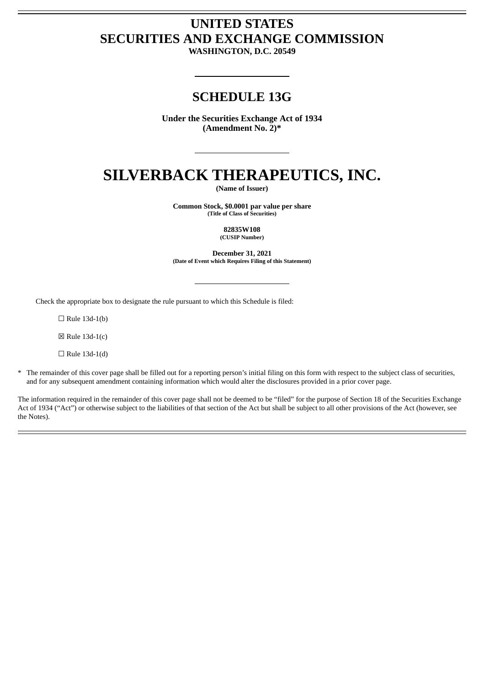# **UNITED STATES SECURITIES AND EXCHANGE COMMISSION**

**WASHINGTON, D.C. 20549**

# **SCHEDULE 13G**

**Under the Securities Exchange Act of 1934 (Amendment No. 2)\***

# **SILVERBACK THERAPEUTICS, INC.**

**(Name of Issuer)**

**Common Stock, \$0.0001 par value per share (Title of Class of Securities)**

> **82835W108 (CUSIP Number)**

**December 31, 2021 (Date of Event which Requires Filing of this Statement)**

Check the appropriate box to designate the rule pursuant to which this Schedule is filed:

 $\Box$  Rule 13d-1(b)

☒ Rule 13d-1(c)

 $\Box$  Rule 13d-1(d)

\* The remainder of this cover page shall be filled out for a reporting person's initial filing on this form with respect to the subject class of securities, and for any subsequent amendment containing information which would alter the disclosures provided in a prior cover page.

The information required in the remainder of this cover page shall not be deemed to be "filed" for the purpose of Section 18 of the Securities Exchange Act of 1934 ("Act") or otherwise subject to the liabilities of that section of the Act but shall be subject to all other provisions of the Act (however, see the Notes).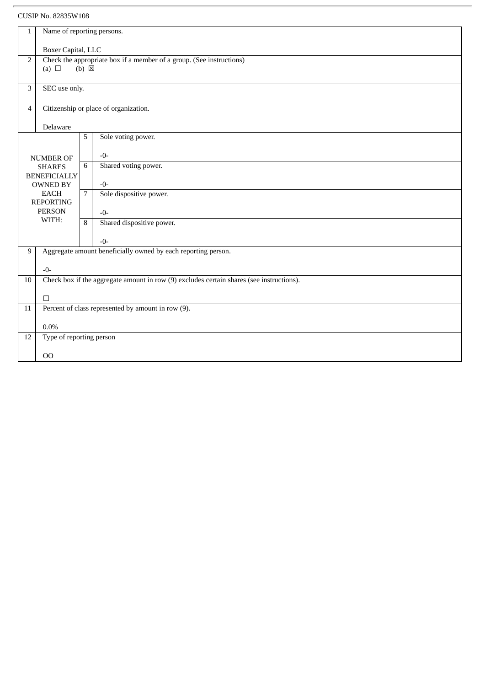| $1\,$                                                   | Name of reporting persons.                                                               |   |                           |  |  |
|---------------------------------------------------------|------------------------------------------------------------------------------------------|---|---------------------------|--|--|
|                                                         | Boxer Capital, LLC                                                                       |   |                           |  |  |
| $\overline{2}$                                          | Check the appropriate box if a member of a group. (See instructions)                     |   |                           |  |  |
|                                                         | $(b) \boxtimes$<br>(a) $\Box$                                                            |   |                           |  |  |
|                                                         |                                                                                          |   |                           |  |  |
| 3                                                       | SEC use only.                                                                            |   |                           |  |  |
| Citizenship or place of organization.<br>$\overline{4}$ |                                                                                          |   |                           |  |  |
|                                                         | Delaware                                                                                 |   |                           |  |  |
|                                                         |                                                                                          | 5 | Sole voting power.        |  |  |
|                                                         | <b>NUMBER OF</b>                                                                         |   | $-0-$                     |  |  |
|                                                         | <b>SHARES</b>                                                                            | 6 | Shared voting power.      |  |  |
|                                                         | <b>BENEFICIALLY</b><br><b>OWNED BY</b>                                                   |   | $-0-$                     |  |  |
|                                                         | <b>EACH</b><br><b>REPORTING</b>                                                          |   | Sole dispositive power.   |  |  |
|                                                         | <b>PERSON</b>                                                                            |   | $-0-$                     |  |  |
|                                                         | WITH:                                                                                    | 8 | Shared dispositive power. |  |  |
|                                                         |                                                                                          |   | $-0-$                     |  |  |
| 9                                                       | Aggregate amount beneficially owned by each reporting person.                            |   |                           |  |  |
|                                                         | $-0-$                                                                                    |   |                           |  |  |
| 10                                                      | Check box if the aggregate amount in row (9) excludes certain shares (see instructions). |   |                           |  |  |
|                                                         | $\Box$                                                                                   |   |                           |  |  |
| $\overline{11}$                                         | Percent of class represented by amount in row (9).                                       |   |                           |  |  |
| $0.0\%$                                                 |                                                                                          |   |                           |  |  |
| 12                                                      | Type of reporting person                                                                 |   |                           |  |  |
|                                                         | 00                                                                                       |   |                           |  |  |
|                                                         |                                                                                          |   |                           |  |  |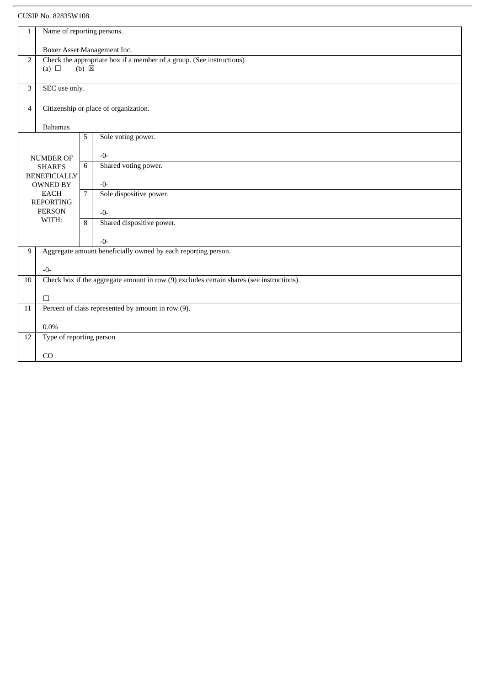| 1                                                       | Name of reporting persons.                                           |                |                                                                                          |  |  |
|---------------------------------------------------------|----------------------------------------------------------------------|----------------|------------------------------------------------------------------------------------------|--|--|
|                                                         |                                                                      |                |                                                                                          |  |  |
|                                                         | Boxer Asset Management Inc.                                          |                |                                                                                          |  |  |
| 2                                                       | Check the appropriate box if a member of a group. (See instructions) |                |                                                                                          |  |  |
|                                                         | $(b) \boxtimes$<br>(a) $\Box$                                        |                |                                                                                          |  |  |
|                                                         |                                                                      |                |                                                                                          |  |  |
| 3                                                       | SEC use only.                                                        |                |                                                                                          |  |  |
|                                                         |                                                                      |                |                                                                                          |  |  |
| Citizenship or place of organization.<br>$\overline{4}$ |                                                                      |                |                                                                                          |  |  |
|                                                         |                                                                      |                |                                                                                          |  |  |
|                                                         | <b>Bahamas</b>                                                       |                |                                                                                          |  |  |
|                                                         |                                                                      | 5              | Sole voting power.                                                                       |  |  |
|                                                         |                                                                      |                |                                                                                          |  |  |
|                                                         | <b>NUMBER OF</b>                                                     |                | $-0-$                                                                                    |  |  |
|                                                         | <b>SHARES</b>                                                        | 6              | Shared voting power.                                                                     |  |  |
|                                                         | <b>BENEFICIALLY</b>                                                  |                |                                                                                          |  |  |
|                                                         | <b>OWNED BY</b>                                                      |                | $-0-$                                                                                    |  |  |
|                                                         | <b>EACH</b>                                                          | 7 <sup>7</sup> | Sole dispositive power.                                                                  |  |  |
|                                                         | <b>REPORTING</b><br><b>PERSON</b>                                    |                |                                                                                          |  |  |
|                                                         | WITH:                                                                |                | $-0-$                                                                                    |  |  |
|                                                         |                                                                      | 8              | Shared dispositive power.                                                                |  |  |
|                                                         |                                                                      |                |                                                                                          |  |  |
|                                                         |                                                                      |                | $-0-$                                                                                    |  |  |
| 9                                                       |                                                                      |                | Aggregate amount beneficially owned by each reporting person.                            |  |  |
|                                                         |                                                                      |                |                                                                                          |  |  |
|                                                         | $-0-$                                                                |                |                                                                                          |  |  |
| 10                                                      |                                                                      |                | Check box if the aggregate amount in row (9) excludes certain shares (see instructions). |  |  |
|                                                         |                                                                      |                |                                                                                          |  |  |
| $\overline{11}$                                         | $\Box$<br>Percent of class represented by amount in row (9).         |                |                                                                                          |  |  |
|                                                         |                                                                      |                |                                                                                          |  |  |
|                                                         | $0.0\%$                                                              |                |                                                                                          |  |  |
| 12                                                      |                                                                      |                |                                                                                          |  |  |
|                                                         | Type of reporting person                                             |                |                                                                                          |  |  |
|                                                         | CO                                                                   |                |                                                                                          |  |  |
|                                                         |                                                                      |                |                                                                                          |  |  |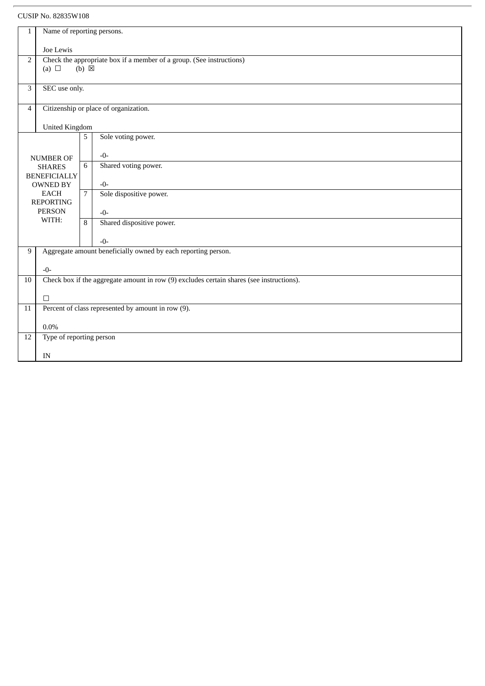| 1                                                       | Name of reporting persons.                                                                                              |                |                                                               |  |  |
|---------------------------------------------------------|-------------------------------------------------------------------------------------------------------------------------|----------------|---------------------------------------------------------------|--|--|
|                                                         |                                                                                                                         |                |                                                               |  |  |
|                                                         | Joe Lewis                                                                                                               |                |                                                               |  |  |
|                                                         | Check the appropriate box if a member of a group. (See instructions)<br>$\overline{2}$<br>(a) $\Box$<br>$(b) \boxtimes$ |                |                                                               |  |  |
|                                                         |                                                                                                                         |                |                                                               |  |  |
| 3                                                       | SEC use only.                                                                                                           |                |                                                               |  |  |
|                                                         |                                                                                                                         |                |                                                               |  |  |
| Citizenship or place of organization.<br>$\overline{4}$ |                                                                                                                         |                |                                                               |  |  |
|                                                         |                                                                                                                         |                |                                                               |  |  |
|                                                         | <b>United Kingdom</b>                                                                                                   |                |                                                               |  |  |
|                                                         |                                                                                                                         | 5              | Sole voting power.                                            |  |  |
|                                                         |                                                                                                                         |                | $-0-$                                                         |  |  |
|                                                         | <b>NUMBER OF</b>                                                                                                        | 6              | Shared voting power.                                          |  |  |
|                                                         | <b>SHARES</b><br><b>BENEFICIALLY</b>                                                                                    |                |                                                               |  |  |
|                                                         | <b>OWNED BY</b>                                                                                                         |                | $-0-$                                                         |  |  |
|                                                         | <b>EACH</b>                                                                                                             | 7 <sup>7</sup> | Sole dispositive power.                                       |  |  |
|                                                         | <b>REPORTING</b>                                                                                                        |                |                                                               |  |  |
|                                                         | <b>PERSON</b><br>WITH:                                                                                                  |                | $-0-$                                                         |  |  |
|                                                         |                                                                                                                         | 8              | Shared dispositive power.                                     |  |  |
|                                                         |                                                                                                                         |                | $-0-$                                                         |  |  |
| 9                                                       |                                                                                                                         |                | Aggregate amount beneficially owned by each reporting person. |  |  |
|                                                         |                                                                                                                         |                |                                                               |  |  |
|                                                         | $-0-$                                                                                                                   |                |                                                               |  |  |
| 10                                                      | Check box if the aggregate amount in row (9) excludes certain shares (see instructions).                                |                |                                                               |  |  |
|                                                         |                                                                                                                         |                |                                                               |  |  |
| $\overline{11}$                                         | $\Box$<br>Percent of class represented by amount in row (9).                                                            |                |                                                               |  |  |
|                                                         |                                                                                                                         |                |                                                               |  |  |
|                                                         | $0.0\%$                                                                                                                 |                |                                                               |  |  |
| 12                                                      | Type of reporting person                                                                                                |                |                                                               |  |  |
|                                                         |                                                                                                                         |                |                                                               |  |  |
|                                                         | IN                                                                                                                      |                |                                                               |  |  |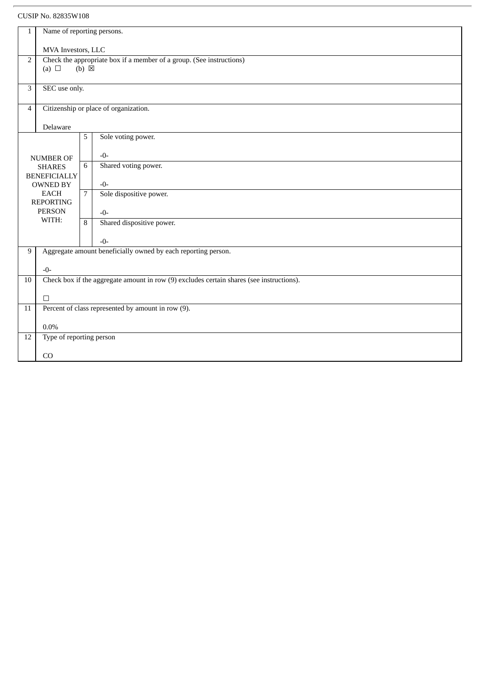| $\mathbf{1}$                                            | Name of reporting persons.                                           |                 |                                                                                          |  |
|---------------------------------------------------------|----------------------------------------------------------------------|-----------------|------------------------------------------------------------------------------------------|--|
|                                                         |                                                                      |                 |                                                                                          |  |
|                                                         | MVA Investors, LLC                                                   |                 |                                                                                          |  |
| 2                                                       | Check the appropriate box if a member of a group. (See instructions) |                 |                                                                                          |  |
|                                                         | (a) $\Box$                                                           | $(b) \boxtimes$ |                                                                                          |  |
|                                                         |                                                                      |                 |                                                                                          |  |
| 3                                                       | SEC use only.                                                        |                 |                                                                                          |  |
|                                                         |                                                                      |                 |                                                                                          |  |
| Citizenship or place of organization.<br>$\overline{4}$ |                                                                      |                 |                                                                                          |  |
|                                                         | Delaware                                                             |                 |                                                                                          |  |
|                                                         |                                                                      | 5               | Sole voting power.                                                                       |  |
|                                                         |                                                                      |                 |                                                                                          |  |
|                                                         | <b>NUMBER OF</b>                                                     |                 | $-0-$                                                                                    |  |
|                                                         | <b>SHARES</b>                                                        | 6               | Shared voting power.                                                                     |  |
|                                                         | <b>BENEFICIALLY</b>                                                  |                 |                                                                                          |  |
|                                                         | <b>OWNED BY</b>                                                      |                 | $-0-$                                                                                    |  |
|                                                         | <b>EACH</b><br><b>REPORTING</b>                                      | 7 <sup>7</sup>  | Sole dispositive power.                                                                  |  |
|                                                         | <b>PERSON</b>                                                        |                 | $-0-$                                                                                    |  |
|                                                         | WITH:                                                                | 8               | Shared dispositive power.                                                                |  |
|                                                         |                                                                      |                 |                                                                                          |  |
|                                                         |                                                                      |                 | $-0-$                                                                                    |  |
| 9                                                       |                                                                      |                 | Aggregate amount beneficially owned by each reporting person.                            |  |
|                                                         |                                                                      |                 |                                                                                          |  |
|                                                         | $-0-$                                                                |                 |                                                                                          |  |
| 10                                                      |                                                                      |                 | Check box if the aggregate amount in row (9) excludes certain shares (see instructions). |  |
|                                                         | $\Box$                                                               |                 |                                                                                          |  |
| $\overline{11}$                                         | Percent of class represented by amount in row (9).                   |                 |                                                                                          |  |
|                                                         |                                                                      |                 |                                                                                          |  |
| $0.0\%$                                                 |                                                                      |                 |                                                                                          |  |
| 12                                                      | Type of reporting person                                             |                 |                                                                                          |  |
|                                                         |                                                                      |                 |                                                                                          |  |
|                                                         | CO                                                                   |                 |                                                                                          |  |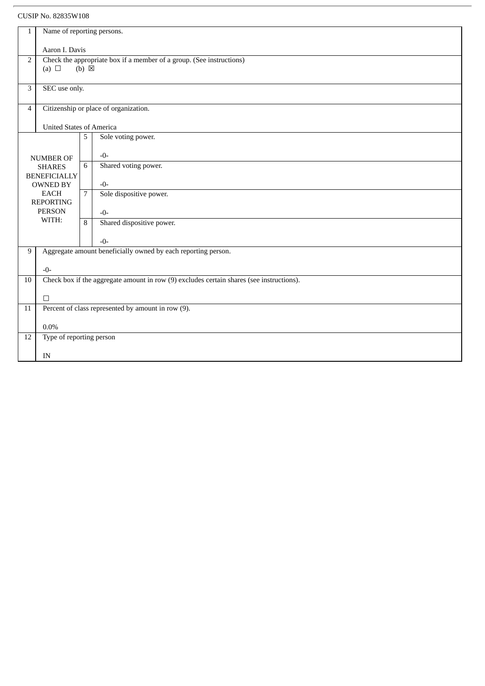| 1              | Name of reporting persons.                                           |                 |                                                                                          |  |  |
|----------------|----------------------------------------------------------------------|-----------------|------------------------------------------------------------------------------------------|--|--|
|                |                                                                      |                 |                                                                                          |  |  |
|                | Aaron I. Davis                                                       |                 |                                                                                          |  |  |
| $\overline{2}$ | Check the appropriate box if a member of a group. (See instructions) |                 |                                                                                          |  |  |
|                | (a) $\Box$                                                           | $(b) \boxtimes$ |                                                                                          |  |  |
|                |                                                                      |                 |                                                                                          |  |  |
| 3              | SEC use only.                                                        |                 |                                                                                          |  |  |
|                |                                                                      |                 |                                                                                          |  |  |
|                | Citizenship or place of organization.<br>$\overline{4}$              |                 |                                                                                          |  |  |
|                |                                                                      |                 |                                                                                          |  |  |
|                | <b>United States of America</b>                                      |                 |                                                                                          |  |  |
|                |                                                                      | 5               | Sole voting power.                                                                       |  |  |
|                |                                                                      |                 |                                                                                          |  |  |
|                | <b>NUMBER OF</b>                                                     |                 | $-0-$                                                                                    |  |  |
|                | <b>SHARES</b>                                                        | 6               | Shared voting power.                                                                     |  |  |
|                | <b>BENEFICIALLY</b>                                                  |                 |                                                                                          |  |  |
|                | <b>OWNED BY</b>                                                      |                 | $-0-$                                                                                    |  |  |
|                | <b>EACH</b><br><b>REPORTING</b>                                      | $\overline{7}$  | Sole dispositive power.                                                                  |  |  |
|                | <b>PERSON</b>                                                        |                 |                                                                                          |  |  |
|                | WITH:                                                                |                 | $-0-$                                                                                    |  |  |
|                |                                                                      | 8               | Shared dispositive power.                                                                |  |  |
|                |                                                                      |                 | $-0-$                                                                                    |  |  |
|                |                                                                      |                 |                                                                                          |  |  |
| 9              |                                                                      |                 | Aggregate amount beneficially owned by each reporting person.                            |  |  |
|                | $-0-$                                                                |                 |                                                                                          |  |  |
|                |                                                                      |                 |                                                                                          |  |  |
| 10             |                                                                      |                 | Check box if the aggregate amount in row (9) excludes certain shares (see instructions). |  |  |
|                | $\Box$                                                               |                 |                                                                                          |  |  |
| 11             | Percent of class represented by amount in row (9).                   |                 |                                                                                          |  |  |
|                |                                                                      |                 |                                                                                          |  |  |
|                | 0.0%                                                                 |                 |                                                                                          |  |  |
| 12             |                                                                      |                 |                                                                                          |  |  |
|                | Type of reporting person                                             |                 |                                                                                          |  |  |
|                | IN                                                                   |                 |                                                                                          |  |  |
|                |                                                                      |                 |                                                                                          |  |  |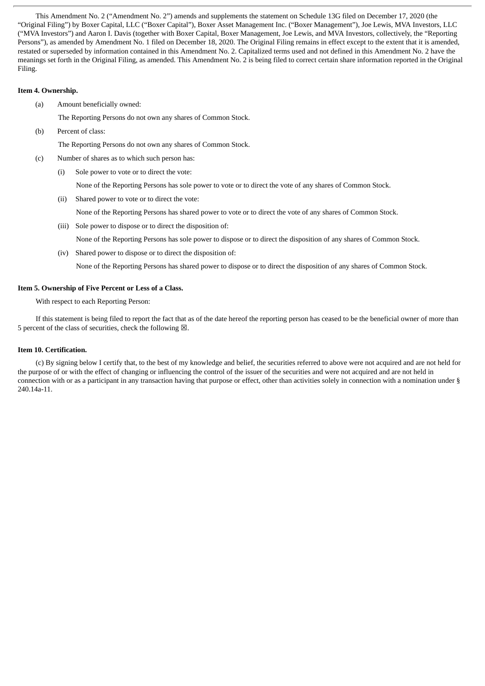This Amendment No. 2 ("Amendment No. 2") amends and supplements the statement on Schedule 13G filed on December 17, 2020 (the "Original Filing") by Boxer Capital, LLC ("Boxer Capital"), Boxer Asset Management Inc. ("Boxer Management"), Joe Lewis, MVA Investors, LLC ("MVA Investors") and Aaron I. Davis (together with Boxer Capital, Boxer Management, Joe Lewis, and MVA Investors, collectively, the "Reporting Persons"), as amended by Amendment No. 1 filed on December 18, 2020. The Original Filing remains in effect except to the extent that it is amended, restated or superseded by information contained in this Amendment No. 2. Capitalized terms used and not defined in this Amendment No. 2 have the meanings set forth in the Original Filing, as amended. This Amendment No. 2 is being filed to correct certain share information reported in the Original Filing.

#### **Item 4. Ownership.**

(a) Amount beneficially owned:

The Reporting Persons do not own any shares of Common Stock.

(b) Percent of class:

The Reporting Persons do not own any shares of Common Stock.

- (c) Number of shares as to which such person has:
	- (i) Sole power to vote or to direct the vote:

None of the Reporting Persons has sole power to vote or to direct the vote of any shares of Common Stock.

- (ii) Shared power to vote or to direct the vote:
	- None of the Reporting Persons has shared power to vote or to direct the vote of any shares of Common Stock.
- (iii) Sole power to dispose or to direct the disposition of: None of the Reporting Persons has sole power to dispose or to direct the disposition of any shares of Common Stock.
- (iv) Shared power to dispose or to direct the disposition of:

None of the Reporting Persons has shared power to dispose or to direct the disposition of any shares of Common Stock.

#### **Item 5. Ownership of Five Percent or Less of a Class.**

With respect to each Reporting Person:

If this statement is being filed to report the fact that as of the date hereof the reporting person has ceased to be the beneficial owner of more than 5 percent of the class of securities, check the following  $\boxtimes$ .

#### **Item 10. Certification.**

(c) By signing below I certify that, to the best of my knowledge and belief, the securities referred to above were not acquired and are not held for the purpose of or with the effect of changing or influencing the control of the issuer of the securities and were not acquired and are not held in connection with or as a participant in any transaction having that purpose or effect, other than activities solely in connection with a nomination under § 240.14a-11.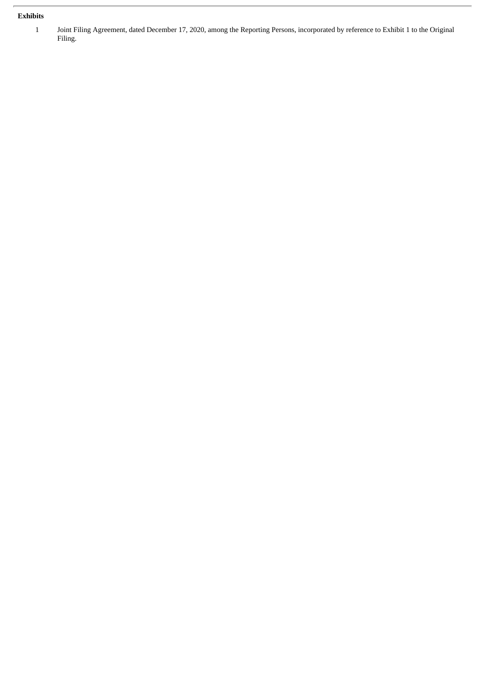# **Exhibits**

1 Joint Filing Agreement, dated December 17, 2020, among the Reporting Persons, incorporated by reference to Exhibit 1 to the Original Filing.